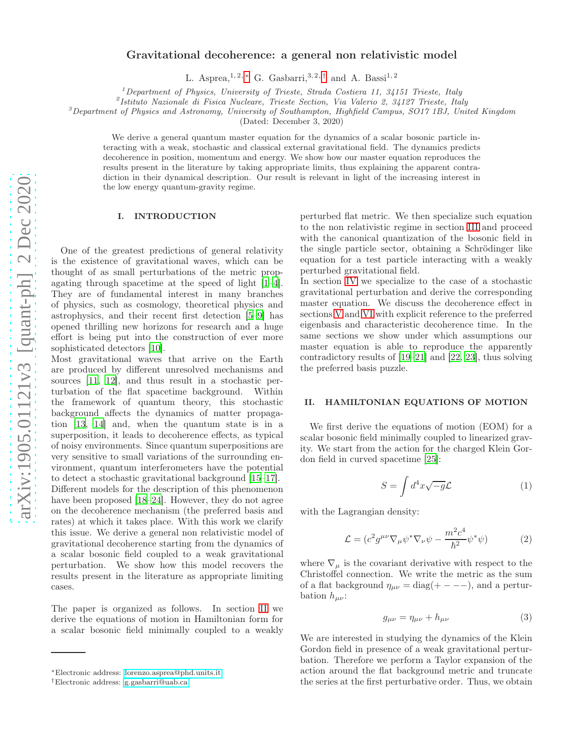# Gravitational decoherence: a general non relativistic model

L. Asprea,<sup>1, 2, \*</sup> G. Gasbarri,<sup>3, 2, [†](#page-0-1)</sup> and A. Bassi<sup>1, 2</sup>

<sup>1</sup>*Department of Physics, University of Trieste, Strada Costiera 11, 34151 Trieste, Italy*

2 *Istituto Nazionale di Fisica Nucleare, Trieste Section, Via Valerio 2, 34127 Trieste, Italy*

<sup>3</sup>*Department of Physics and Astronomy, University of Southampton, Highfield Campus, SO17 1BJ, United Kingdom*

(Dated: December 3, 2020)

We derive a general quantum master equation for the dynamics of a scalar bosonic particle interacting with a weak, stochastic and classical external gravitational field. The dynamics predicts decoherence in position, momentum and energy. We show how our master equation reproduces the results present in the literature by taking appropriate limits, thus explaining the apparent contradiction in their dynamical description. Our result is relevant in light of the increasing interest in the low energy quantum-gravity regime.

## I. INTRODUCTION

One of the greatest predictions of general relativity is the existence of gravitational waves, which can be thought of as small perturbations of the metric propagating through spacetime at the speed of light [\[1](#page-10-0)[–4\]](#page-10-1). They are of fundamental interest in many branches of physics, such as cosmology, theoretical physics and astrophysics, and their recent first detection [\[5](#page-10-2)[–9\]](#page-11-0) has opened thrilling new horizons for research and a huge effort is being put into the construction of ever more sophisticated detectors [\[10](#page-11-1)].

Most gravitational waves that arrive on the Earth are produced by different unresolved mechanisms and sources [\[11,](#page-11-2) [12\]](#page-11-3), and thus result in a stochastic perturbation of the flat spacetime background. Within the framework of quantum theory, this stochastic background affects the dynamics of matter propagation [\[13](#page-11-4), [14](#page-11-5)] and, when the quantum state is in a superposition, it leads to decoherence effects, as typical of noisy environments. Since quantum superpositions are very sensitive to small variations of the surrounding environment, quantum interferometers have the potential to detect a stochastic gravitational background [\[15](#page-11-6)[–17\]](#page-11-7). Different models for the description of this phenomenon have been proposed [\[18](#page-11-8)[–24](#page-11-9)]. However, they do not agree on the decoherence mechanism (the preferred basis and rates) at which it takes place. With this work we clarify this issue. We derive a general non relativistic model of gravitational decoherence starting from the dynamics of a scalar bosonic field coupled to a weak gravitational perturbation. We show how this model recovers the results present in the literature as appropriate limiting cases.

The paper is organized as follows. In section [II](#page-0-2) we derive the equations of motion in Hamiltonian form for a scalar bosonic field minimally coupled to a weakly

perturbed flat metric. We then specialize such equation to the non relativistic regime in section [III](#page-1-0) and proceed with the canonical quantization of the bosonic field in the single particle sector, obtaining a Schrödinger like equation for a test particle interacting with a weakly perturbed gravitational field.

In section [IV](#page-3-0) we specialize to the case of a stochastic gravitational perturbation and derive the corresponding master equation. We discuss the decoherence effect in sections [V](#page-5-0) and [VI](#page-6-0) with explicit reference to the preferred eigenbasis and characteristic decoherence time. In the same sections we show under which assumptions our master equation is able to reproduce the apparently contradictory results of [\[19](#page-11-10)[–21](#page-11-11)] and [\[22,](#page-11-12) [23\]](#page-11-13), thus solving the preferred basis puzzle.

## <span id="page-0-2"></span>II. HAMILTONIAN EQUATIONS OF MOTION

We first derive the equations of motion (EOM) for a scalar bosonic field minimally coupled to linearized gravity. We start from the action for the charged Klein Gordon field in curved spacetime [\[25\]](#page-11-14):

$$
S = \int d^4x \sqrt{-g} \mathcal{L}
$$
 (1)

with the Lagrangian density:

$$
\mathcal{L} = (c^2 g^{\mu\nu} \nabla_{\mu} \psi^* \nabla_{\nu} \psi - \frac{m^2 c^4}{\hbar^2} \psi^* \psi) \tag{2}
$$

where  $\nabla_{\mu}$  is the covariant derivative with respect to the Christoffel connection. We write the metric as the sum of a flat background  $\eta_{\mu\nu} = \text{diag}(+ - - -)$ , and a perturbation  $h_{\mu\nu}$ :

$$
g_{\mu\nu} = \eta_{\mu\nu} + h_{\mu\nu} \tag{3}
$$

We are interested in studying the dynamics of the Klein Gordon field in presence of a weak gravitational perturbation. Therefore we perform a Taylor expansion of the action around the flat background metric and truncate the series at the first perturbative order. Thus, we obtain

<span id="page-0-0"></span><sup>∗</sup>Electronic address: [lorenzo.asprea@phd.units.it](mailto:lorenzo.asprea@phd.units.it)

<span id="page-0-1"></span><sup>†</sup>Electronic address: [g.gasbarri@uab.ca](mailto:g.gasbarri@uab.ca)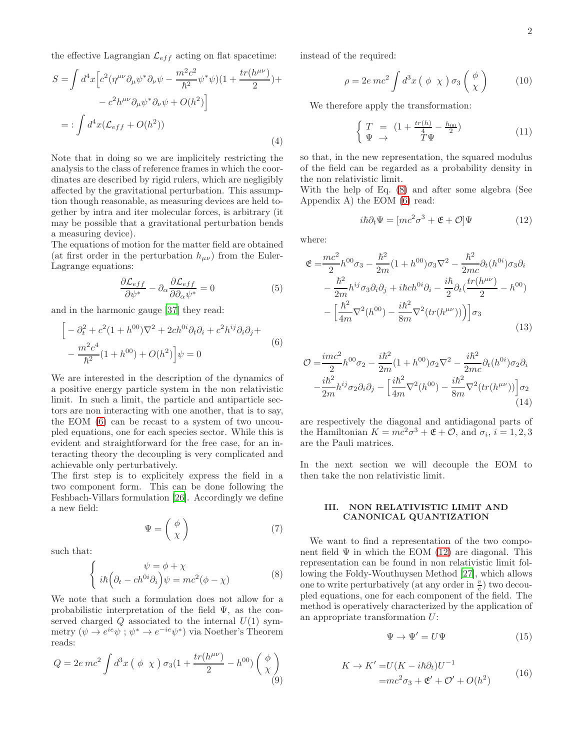the effective Lagrangian  $\mathcal{L}_{eff}$  acting on flat spacetime:

$$
S = \int d^4x \Big[ c^2 (\eta^{\mu\nu} \partial_\mu \psi^* \partial_\nu \psi - \frac{m^2 c^2}{\hbar^2} \psi^* \psi)(1 + \frac{tr(h^{\mu\nu})}{2}) +
$$
  

$$
- c^2 h^{\mu\nu} \partial_\mu \psi^* \partial_\nu \psi + O(h^2) \Big]
$$
  

$$
= : \int d^4x (\mathcal{L}_{eff} + O(h^2))
$$
 (4)

Note that in doing so we are implicitely restricting the analysis to the class of reference frames in which the coordinates are described by rigid rulers, which are negligibly affected by the gravitational perturbation. This assumption though reasonable, as measuring devices are held together by intra and iter molecular forces, is arbitrary (it may be possible that a gravitational perturbation bends a measuring device).

The equations of motion for the matter field are obtained (at first order in the perturbation  $h_{\mu\nu}$ ) from the Euler-Lagrange equations:

$$
\frac{\partial \mathcal{L}_{eff}}{\partial \psi^*} - \partial_{\alpha} \frac{\partial \mathcal{L}_{eff}}{\partial \partial_{\alpha} \psi^*} = 0 \tag{5}
$$

and in the harmonic gauge [\[37\]](#page-11-15) they read:

<span id="page-1-1"></span>
$$
\[ -\partial_t^2 + c^2 (1 + h^{00}) \nabla^2 + 2ch^{0i} \partial_t \partial_i + c^2 h^{ij} \partial_i \partial_j + - \frac{m^2 c^4}{\hbar^2} (1 + h^{00}) + O(h^2) \] \psi = 0 \tag{6}
$$

We are interested in the description of the dynamics of a positive energy particle system in the non relativistic limit. In such a limit, the particle and antiparticle sectors are non interacting with one another, that is to say, the EOM [\(6\)](#page-1-1) can be recast to a system of two uncoupled equations, one for each species sector. While this is evident and straightforward for the free case, for an interacting theory the decoupling is very complicated and achievable only perturbatively.

The first step is to explicitely express the field in a two component form. This can be done following the Feshbach-Villars formulation [\[26\]](#page-11-16). Accordingly we define a new field:

$$
\Psi = \begin{pmatrix} \phi \\ \chi \end{pmatrix} \tag{7}
$$

such that:

<span id="page-1-2"></span>
$$
\begin{cases}\n\psi = \phi + \chi \\
i\hbar \left(\partial_t - ch^{0i}\partial_i\right)\psi = mc^2(\phi - \chi)\n\end{cases}
$$
\n(8)

We note that such a formulation does not allow for a probabilistic interpretation of the field  $\Psi$ , as the conserved charged  $Q$  associated to the internal  $U(1)$  symmetry  $(\psi \to e^{ie}\psi; \psi^* \to e^{-ie}\psi^*)$  via Noether's Theorem reads:

<span id="page-1-4"></span>
$$
Q = 2e \, mc^2 \int d^3x \left( \phi \chi \right) \sigma_3 (1 + \frac{tr(h^{\mu \nu})}{2} - h^{00}) \left( \begin{array}{c} \phi \\ \chi \end{array} \right) \tag{9}
$$

instead of the required:

$$
\rho = 2e \, mc^2 \int d^3x \left( \phi \times \right) \sigma_3 \left( \frac{\phi}{\chi} \right) \tag{10}
$$

We therefore apply the transformation:

<span id="page-1-5"></span>
$$
\begin{cases}\nT = (1 + \frac{tr(h)}{4} - \frac{h_{00}}{2}) \\
\Psi \rightarrow T\Psi\n\end{cases}
$$
\n(11)

so that, in the new representation, the squared modulus of the field can be regarded as a probability density in the non relativistic limit.

With the help of Eq. [\(8\)](#page-1-2) and after some algebra (See Appendix A) the EOM [\(6\)](#page-1-1) read:

<span id="page-1-3"></span>
$$
i\hbar \partial_t \Psi = [mc^2 \sigma^3 + \mathfrak{E} + \mathcal{O}] \Psi \qquad (12)
$$

where:

$$
\mathfrak{E} = \frac{mc^2}{2} h^{00} \sigma_3 - \frac{\hbar^2}{2m} (1 + h^{00}) \sigma_3 \nabla^2 - \frac{\hbar^2}{2mc} \partial_t (h^{0i}) \sigma_3 \partial_i \n- \frac{\hbar^2}{2m} h^{ij} \sigma_3 \partial_i \partial_j + i \hbar ch^{0i} \partial_i - \frac{i \hbar}{2} \partial_t (\frac{tr(h^{\mu \nu})}{2} - h^{00}) \n- \left[ \frac{\hbar^2}{4m} \nabla^2 (h^{00}) - \frac{i \hbar^2}{8m} \nabla^2 (tr(h^{\mu \nu})) \right] \sigma_3
$$
\n(13)

$$
\mathcal{O} = \frac{imc^2}{2}h^{00}\sigma_2 - \frac{i\hbar^2}{2m}(1+h^{00})\sigma_2\nabla^2 - \frac{i\hbar^2}{2mc}\partial_t(h^{0i})\sigma_2\partial_i - \frac{i\hbar^2}{2m}h^{ij}\sigma_2\partial_i\partial_j - \left[\frac{i\hbar^2}{4m}\nabla^2(h^{00}) - \frac{i\hbar^2}{8m}\nabla^2(tr(h^{\mu\nu}))\right]\sigma_2
$$
\n(14)

are respectively the diagonal and antidiagonal parts of the Hamiltonian  $K = mc^2\sigma^3 + \mathfrak{E} + \mathcal{O}$ , and  $\sigma_i$ ,  $i = 1, 2, 3$ are the Pauli matrices.

In the next section we will decouple the EOM to then take the non relativistic limit.

## <span id="page-1-0"></span>III. NON RELATIVISTIC LIMIT AND CANONICAL QUANTIZATION

We want to find a representation of the two component field  $\Psi$  in which the EOM [\(12\)](#page-1-3) are diagonal. This representation can be found in non relativistic limit following the Foldy-Wouthuysen Method [\[27\]](#page-11-17), which allows one to write perturbatively (at any order in  $\frac{v}{c}$ ) two decoupled equations, one for each component of the field. The method is operatively characterized by the application of an appropriate transformation U:

$$
\Psi \to \Psi' = U\Psi \tag{15}
$$

$$
K \to K' = U(K - i\hbar \partial_t)U^{-1}
$$
  
=  $mc^2 \sigma_3 + \mathfrak{E}' + \mathcal{O}' + O(h^2)$  (16)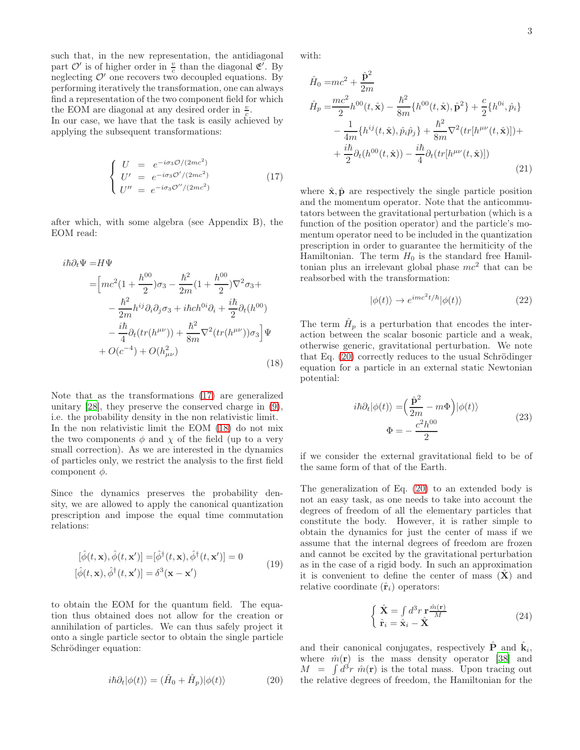such that, in the new representation, the antidiagonal part  $\mathcal{O}'$  is of higher order in  $\frac{v}{c}$  than the diagonal  $\mathfrak{E}'$ . By neglecting  $\mathcal{O}'$  one recovers two decoupled equations. By performing iteratively the transformation, one can always find a representation of the two component field for which the EOM are diagonal at any desired order in  $\frac{v}{c}$ .

In our case, we have that the task is easily achieved by applying the subsequent transformations:

<span id="page-2-0"></span>
$$
\begin{cases}\nU = e^{-i\sigma_3 \mathcal{O}/(2mc^2)} \\
U' = e^{-i\sigma_3 \mathcal{O}'/(2mc^2)} \\
U'' = e^{-i\sigma_3 \mathcal{O}''/(2mc^2)}\n\end{cases}
$$
\n(17)

after which, with some algebra (see Appendix B), the EOM read:

<span id="page-2-1"></span>
$$
i\hbar \partial_t \Psi = H\Psi
$$
  
=  $\left[ mc^2 (1 + \frac{h^{00}}{2}) \sigma_3 - \frac{\hbar^2}{2m} (1 + \frac{h^{00}}{2}) \nabla^2 \sigma_3 + \right.$   

$$
- \frac{\hbar^2}{2m} h^{ij} \partial_i \partial_j \sigma_3 + i\hbar ch^{0i} \partial_i + \frac{i\hbar}{2} \partial_t (h^{00})
$$
  

$$
- \frac{i\hbar}{4} \partial_t (tr(h^{\mu\nu})) + \frac{\hbar^2}{8m} \nabla^2 (tr(h^{\mu\nu})) \sigma_3 \right] \Psi
$$
  

$$
+ O(c^{-4}) + O(h_{\mu\nu}^2)
$$
(18)

Note that as the transformations [\(17\)](#page-2-0) are generalized unitary [\[28\]](#page-11-18), they preserve the conserved charge in [\(9\)](#page-1-4), i.e. the probability density in the non relativistic limit. In the non relativistic limit the EOM [\(18\)](#page-2-1) do not mix the two components  $\phi$  and  $\chi$  of the field (up to a very small correction). As we are interested in the dynamics of particles only, we restrict the analysis to the first field component  $\phi$ .

Since the dynamics preserves the probability density, we are allowed to apply the canonical quantization prescription and impose the equal time commutation relations:

$$
[\hat{\phi}(t, \mathbf{x}), \hat{\phi}(t, \mathbf{x}')] = [\hat{\phi}^{\dagger}(t, \mathbf{x}), \hat{\phi}^{\dagger}(t, \mathbf{x}')] = 0
$$
  

$$
[\hat{\phi}(t, \mathbf{x}), \hat{\phi}^{\dagger}(t, \mathbf{x}')] = \delta^3(\mathbf{x} - \mathbf{x}')
$$
 (19)

to obtain the EOM for the quantum field. The equation thus obtained does not allow for the creation or annihilation of particles. We can thus safely project it onto a single particle sector to obtain the single particle Schrödinger equation:

<span id="page-2-2"></span>
$$
i\hbar \partial_t |\phi(t)\rangle = (\hat{H}_0 + \hat{H}_p)|\phi(t)\rangle \tag{20}
$$

with:

$$
\hat{H}_0 = mc^2 + \frac{\hat{\mathbf{p}}^2}{2m} \n\hat{H}_p = \frac{mc^2}{2}h^{00}(t, \hat{\mathbf{x}}) - \frac{\hbar^2}{8m}\{h^{00}(t, \hat{\mathbf{x}}), \hat{\mathbf{p}}^2\} + \frac{c}{2}\{h^{0i}, \hat{p}_i\} \n- \frac{1}{4m}\{h^{ij}(t, \hat{\mathbf{x}}), \hat{p}_i\hat{p}_j\} + \frac{\hbar^2}{8m}\nabla^2(tr[h^{\mu\nu}(t, \hat{\mathbf{x}})]) + \n+ \frac{i\hbar}{2}\partial_t(h^{00}(t, \hat{\mathbf{x}})) - \frac{i\hbar}{4}\partial_t(tr[h^{\mu\nu}(t, \hat{\mathbf{x}})])
$$
\n(21)

where  $\hat{\mathbf{x}}, \hat{\mathbf{p}}$  are respectively the single particle position and the momentum operator. Note that the anticommutators between the gravitational perturbation (which is a function of the position operator) and the particle's momentum operator need to be included in the quantization prescription in order to guarantee the hermiticity of the Hamiltonian. The term  $H_0$  is the standard free Hamiltonian plus an irrelevant global phase  $mc^2$  that can be reabsorbed with the transformation:

$$
|\phi(t)\rangle \to e^{imc^2t/\hbar}|\phi(t)\rangle \tag{22}
$$

The term  $\hat{H}_p$  is a perturbation that encodes the interaction between the scalar bosonic particle and a weak, otherwise generic, gravitational perturbation. We note that Eq. [\(20\)](#page-2-2) correctly reduces to the usual Schrödinger equation for a particle in an external static Newtonian potential:

$$
i\hbar \partial_t |\phi(t)\rangle = \left(\frac{\hat{\mathbf{p}}^2}{2m} - m\Phi\right) |\phi(t)\rangle
$$
  

$$
\Phi = -\frac{c^2 h^{00}}{2}
$$
 (23)

if we consider the external gravitational field to be of the same form of that of the Earth.

The generalization of Eq. [\(20\)](#page-2-2) to an extended body is not an easy task, as one needs to take into account the degrees of freedom of all the elementary particles that constitute the body. However, it is rather simple to obtain the dynamics for just the center of mass if we assume that the internal degrees of freedom are frozen and cannot be excited by the gravitational perturbation as in the case of a rigid body. In such an approximation it is convenient to define the center of mass  $(X)$  and relative coordinate  $(\hat{\mathbf{r}}_i)$  operators:

$$
\begin{cases} \n\hat{\mathbf{X}} = \int d^3 r \, \mathbf{r} \frac{\hat{m}(\mathbf{r})}{M} \\ \n\hat{\mathbf{r}}_i = \hat{\mathbf{x}}_i - \hat{\mathbf{X}} \n\end{cases} \n\tag{24}
$$

and their canonical conjugates, respectively  $\hat{\mathbf{P}}$  and  $\hat{\mathbf{k}}_i$ , where  $\hat{m}(\mathbf{r})$  is the mass density operator [\[38](#page-11-19)] and  $M = \int d^3r \hat{m}(\mathbf{r})$  is the total mass. Upon tracing out the relative degrees of freedom, the Hamiltonian for the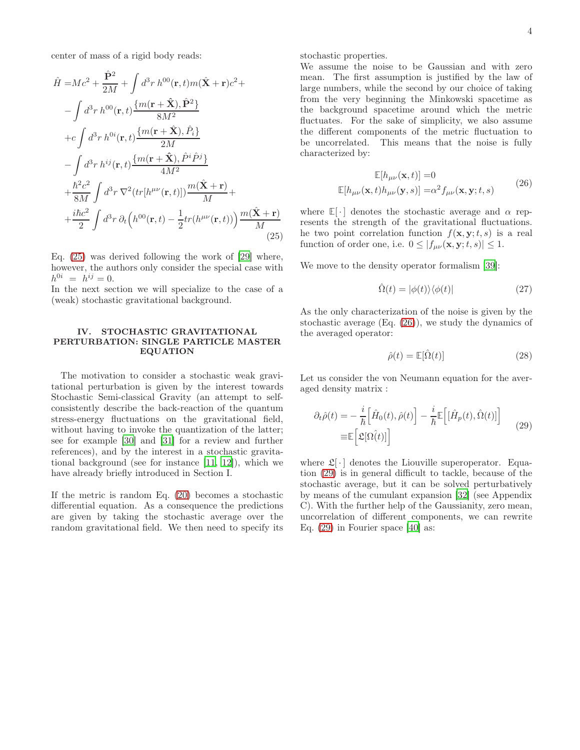center of mass of a rigid body reads:

<span id="page-3-1"></span>
$$
\hat{H} = Mc^2 + \frac{\hat{\mathbf{P}}^2}{2M} + \int d^3r \, h^{00}(\mathbf{r}, t) m(\hat{\mathbf{X}} + \mathbf{r}) c^2 + \n- \int d^3r \, h^{00}(\mathbf{r}, t) \frac{\{m(\mathbf{r} + \hat{\mathbf{X}}), \hat{\mathbf{P}}^2\}}{8M^2} \n+ c \int d^3r \, h^{0i}(\mathbf{r}, t) \frac{\{m(\mathbf{r} + \hat{\mathbf{X}}), \hat{P}_i\}}{2M} \n- \int d^3r \, h^{ij}(\mathbf{r}, t) \frac{\{m(\mathbf{r} + \hat{\mathbf{X}}), \hat{P}^i \hat{P}^j\}}{4M^2} \n+ \frac{\hbar^2 c^2}{8M} \int d^3r \, \nabla^2 \left( tr[h^{\mu\nu}(\mathbf{r}, t)] \right) \frac{m(\hat{\mathbf{X}} + \mathbf{r})}{M} + \n+ \frac{i\hbar c^2}{2} \int d^3r \, \partial_t \left( h^{00}(\mathbf{r}, t) - \frac{1}{2} tr(h^{\mu\nu}(\mathbf{r}, t)) \right) \frac{m(\hat{\mathbf{X}} + \mathbf{r})}{M}
$$
\n(25)

Eq. [\(25\)](#page-3-1) was derived following the work of [\[29\]](#page-11-20) where, however, the authors only consider the special case with  $h^{0i} = h^{ij} = 0.$ 

In the next section we will specialize to the case of a (weak) stochastic gravitational background.

## <span id="page-3-0"></span>IV. STOCHASTIC GRAVITATIONAL PERTURBATION: SINGLE PARTICLE MASTER EQUATION

The motivation to consider a stochastic weak gravitational perturbation is given by the interest towards Stochastic Semi-classical Gravity (an attempt to selfconsistently describe the back-reaction of the quantum stress-energy fluctuations on the gravitational field, without having to invoke the quantization of the latter; see for example [\[30](#page-11-21)] and [\[31\]](#page-11-22) for a review and further references), and by the interest in a stochastic gravitational background (see for instance [\[11,](#page-11-2) [12\]](#page-11-3)), which we have already briefly introduced in Section I.

If the metric is random Eq. [\(20\)](#page-2-2) becomes a stochastic differential equation. As a consequence the predictions are given by taking the stochastic average over the random gravitational field. We then need to specify its stochastic properties.

We assume the noise to be Gaussian and with zero mean. The first assumption is justified by the law of large numbers, while the second by our choice of taking from the very beginning the Minkowski spacetime as the background spacetime around which the metric fluctuates. For the sake of simplicity, we also assume the different components of the metric fluctuation to be uncorrelated. This means that the noise is fully characterized by:

$$
\mathbb{E}[h_{\mu\nu}(\mathbf{x},t)] = 0
$$
  

$$
\mathbb{E}[h_{\mu\nu}(\mathbf{x},t)h_{\mu\nu}(\mathbf{y},s)] = \alpha^2 f_{\mu\nu}(\mathbf{x},\mathbf{y};t,s)
$$
 (26)

<span id="page-3-2"></span>where  $\mathbb{E}[\cdot]$  denotes the stochastic average and  $\alpha$  represents the strength of the gravitational fluctuations. he two point correlation function  $f(\mathbf{x}, \mathbf{y}; t, s)$  is a real function of order one, i.e.  $0 \leq |f_{\mu\nu}(\mathbf{x}, \mathbf{y}; t, s)| \leq 1$ .

We move to the density operator formalism [\[39\]](#page-11-23):

$$
\hat{\Omega}(t) = |\phi(t)\rangle\langle\phi(t)| \tag{27}
$$

As the only characterization of the noise is given by the stochastic average (Eq. [\(26\)](#page-3-2)), we study the dynamics of the averaged operator:

$$
\hat{\rho}(t) = \mathbb{E}[\hat{\Omega}(t)] \tag{28}
$$

Let us consider the von Neumann equation for the averaged density matrix :

<span id="page-3-3"></span>
$$
\partial_t \hat{\rho}(t) = -\frac{i}{\hbar} \Big[ \hat{H}_0(t), \hat{\rho}(t) \Big] - \frac{i}{\hbar} \mathbb{E} \Big[ [\hat{H}_p(t), \hat{\Omega}(t)] \Big] \n\equiv \mathbb{E} \Big[ \mathfrak{L}[\Omega(t)] \Big]
$$
\n(29)

where  $\mathfrak{L}[\cdot]$  denotes the Liouville superoperator. Equation [\(29\)](#page-3-3) is in general difficult to tackle, because of the stochastic average, but it can be solved perturbatively by means of the cumulant expansion [\[32\]](#page-11-24) (see Appendix C). With the further help of the Gaussianity, zero mean, uncorrelation of different components, we can rewrite Eq. [\(29\)](#page-3-3) in Fourier space [\[40\]](#page-11-25) as: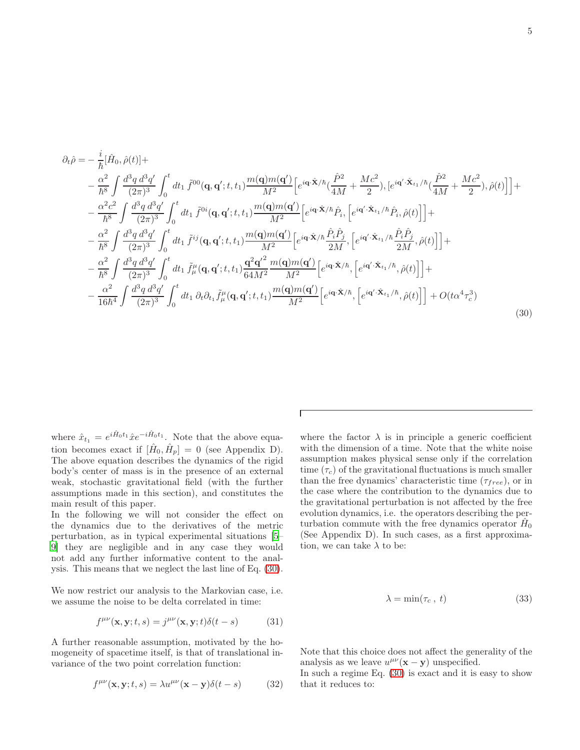<span id="page-4-0"></span>
$$
\partial_{t}\hat{\rho} = -\frac{i}{\hbar}[\hat{H}_{0},\hat{\rho}(t)] + \n- \frac{\alpha^{2}}{\hbar^{8}}\int \frac{d^{3}q \, d^{3}q'}{(2\pi)^{3}} \int_{0}^{t} dt_{1} \, \tilde{f}^{00}(\mathbf{q},\mathbf{q}';t,t_{1}) \frac{m(\mathbf{q})m(\mathbf{q}')}{M^{2}} \Big[e^{i\mathbf{q}\cdot\hat{\mathbf{X}}/\hbar}(\frac{\hat{P}^{2}}{4M} + \frac{Mc^{2}}{2}), [e^{i\mathbf{q}'\cdot\hat{\mathbf{X}}_{t_{1}}/\hbar}(\frac{\hat{P}^{2}}{4M} + \frac{Mc^{2}}{2}),\hat{\rho}(t)]\Big] + \n- \frac{\alpha^{2}c^{2}}{\hbar^{8}}\int \frac{d^{3}q \, d^{3}q'}{(2\pi)^{3}} \int_{0}^{t} dt_{1} \, \tilde{f}^{0i}(\mathbf{q},\mathbf{q}';t,t_{1}) \frac{m(\mathbf{q})m(\mathbf{q}')}{M^{2}} \Big[e^{i\mathbf{q}\cdot\hat{\mathbf{X}}/\hbar}\hat{P}_{i}, [e^{i\mathbf{q}'\cdot\hat{\mathbf{X}}_{t_{1}}/\hbar}\hat{P}_{i},\hat{\rho}(t)]\Big] + \n- \frac{\alpha^{2}}{\hbar^{8}}\int \frac{d^{3}q \, d^{3}q'}{(2\pi)^{3}} \int_{0}^{t} dt_{1} \, \tilde{f}^{ij}(\mathbf{q},\mathbf{q}';t,t_{1}) \frac{m(\mathbf{q})m(\mathbf{q}')}{M^{2}} \Big[e^{i\mathbf{q}\cdot\hat{\mathbf{X}}/\hbar}\frac{\hat{P}_{i}\hat{P}_{j}}{2M}, [e^{i\mathbf{q}'\cdot\hat{\mathbf{X}}_{t_{1}}/\hbar}\frac{\hat{P}_{i}\hat{P}_{j}}{2M},\hat{\rho}(t)]\Big] + \n- \frac{\alpha^{2}}{\hbar^{8}}\int \frac{d^{3}q \, d^{3}q'}{(2\pi)^{3}} \int_{0}^{t} dt_{1} \, \tilde{f}^{\mu}_{\mu}(\mathbf{q},\mathbf{q}';t,t_{1}) \frac{\mathbf{q}^{2}\mathbf{q}'^{2}}{
$$

 $\Gamma$ 

where  $\hat{x}_{t_1} = e^{i\hat{H}_0 t_1} \hat{x} e^{-i\hat{H}_0 t_1}$ . Note that the above equation becomes exact if  $[\hat{H}_0, \hat{H}_p] = 0$  (see Appendix D). The above equation describes the dynamics of the rigid body's center of mass is in the presence of an external weak, stochastic gravitational field (with the further assumptions made in this section), and constitutes the main result of this paper.

In the following we will not consider the effect on the dynamics due to the derivatives of the metric perturbation, as in typical experimental situations [\[5](#page-10-2)– [9](#page-11-0)] they are negligible and in any case they would not add any further informative content to the analysis. This means that we neglect the last line of Eq. [\(30\)](#page-4-0).

We now restrict our analysis to the Markovian case, i.e. we assume the noise to be delta correlated in time:

$$
f^{\mu\nu}(\mathbf{x}, \mathbf{y}; t, s) = j^{\mu\nu}(\mathbf{x}, \mathbf{y}; t) \delta(t - s)
$$
 (31)

A further reasonable assumption, motivated by the homogeneity of spacetime itself, is that of translational invariance of the two point correlation function:

<span id="page-4-1"></span>
$$
f^{\mu\nu}(\mathbf{x}, \mathbf{y}; t, s) = \lambda u^{\mu\nu}(\mathbf{x} - \mathbf{y}) \delta(t - s)
$$
 (32)

where the factor  $\lambda$  is in principle a generic coefficient with the dimension of a time. Note that the white noise assumption makes physical sense only if the correlation time  $(\tau_c)$  of the gravitational fluctuations is much smaller than the free dynamics' characteristic time  $(\tau_{free})$ , or in the case where the contribution to the dynamics due to the gravitational perturbation is not affected by the free evolution dynamics, i.e. the operators describing the perturbation commute with the free dynamics operator  $\hat{H}_0$ (See Appendix D). In such cases, as a first approximation, we can take  $\lambda$  to be:

$$
\lambda = \min(\tau_c, t) \tag{33}
$$

Note that this choice does not affect the generality of the analysis as we leave  $u^{\mu\nu}(\mathbf{x} - \mathbf{y})$  unspecified.

In such a regime Eq. [\(30\)](#page-4-0) is exact and it is easy to show that it reduces to: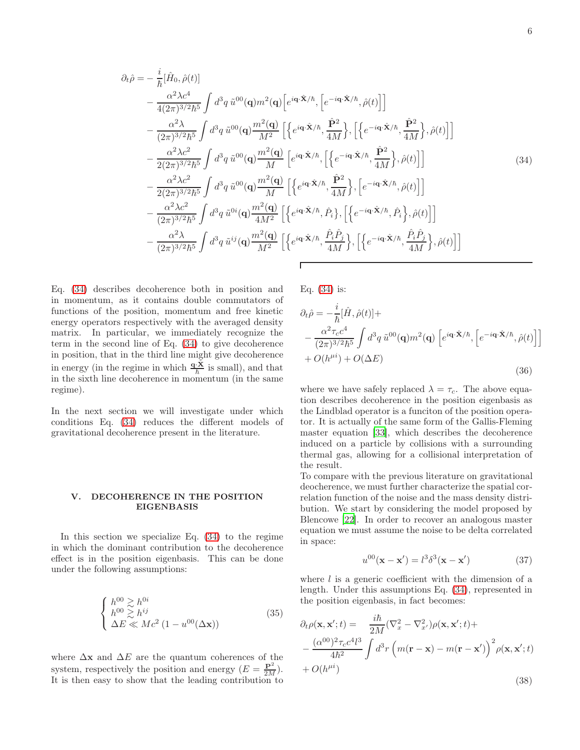<span id="page-5-1"></span>
$$
\partial_t \hat{\rho} = -\frac{i}{\hbar} [\hat{H}_0, \hat{\rho}(t)] \n- \frac{\alpha^2 \lambda c^4}{4(2\pi)^{3/2} \hbar^5} \int d^3 q \, \tilde{u}^{00} (\mathbf{q}) m^2 (\mathbf{q}) \Big[ e^{i\mathbf{q} \cdot \hat{\mathbf{X}}/\hbar}, \Big[ e^{-i\mathbf{q} \cdot \hat{\mathbf{X}}/\hbar}, \hat{\rho}(t) \Big] \n- \frac{\alpha^2 \lambda}{(2\pi)^{3/2} \hbar^5} \int d^3 q \, \tilde{u}^{00} (\mathbf{q}) \frac{m^2 (\mathbf{q})}{M^2} \Big[ \Big\{ e^{i\mathbf{q} \cdot \hat{\mathbf{X}}/\hbar}, \frac{\hat{\mathbf{P}}^2}{4M} \Big\}, \Big[ \Big\{ e^{-i\mathbf{q} \cdot \hat{\mathbf{X}}/\hbar}, \frac{\hat{\mathbf{P}}^2}{4M} \Big\}, \hat{\rho}(t) \Big] \Big] \n- \frac{\alpha^2 \lambda c^2}{2(2\pi)^{3/2} \hbar^5} \int d^3 q \, \tilde{u}^{00} (\mathbf{q}) \frac{m^2 (\mathbf{q})}{M} \Big[ e^{i\mathbf{q} \cdot \hat{\mathbf{X}}/\hbar}, \Big[ \Big\{ e^{-i\mathbf{q} \cdot \hat{\mathbf{X}}/\hbar}, \frac{\hat{\mathbf{P}}^2}{4M} \Big\}, \hat{\rho}(t) \Big] \Big] \n- \frac{\alpha^2 \lambda c^2}{2(2\pi)^{3/2} \hbar^5} \int d^3 q \, \tilde{u}^{00} (\mathbf{q}) \frac{m^2 (\mathbf{q})}{M} \Big[ \Big\{ e^{i\mathbf{q} \cdot \hat{\mathbf{X}}/\hbar}, \frac{\hat{\mathbf{P}}^2}{4M} \Big\}, \Big[ e^{-i\mathbf{q} \cdot \hat{\mathbf{X}}/\hbar}, \hat{\rho}(t) \Big] \Big] \n- \frac{\alpha^2 \lambda c^2}{(2\pi)^{3/2} \hbar^5} \int d^3 q \, \tilde{u}^{0i} (\mathbf{q}) \frac{m^2 (\mathbf{q})}{4M^2} \Big[ \Big\{ e^{i\mathbf{q}
$$

Eq. [\(34\)](#page-5-1) describes decoherence both in position and in momentum, as it contains double commutators of functions of the position, momentum and free kinetic energy operators respectively with the averaged density matrix. In particular, we immediately recognize the term in the second line of Eq. [\(34\)](#page-5-1) to give decoherence in position, that in the third line might give decoherence in energy (in the regime in which  $\frac{\mathbf{q} \cdot \hat{\mathbf{X}}}{\hbar}$  is small), and that in the sixth line decoherence in momentum (in the same regime).

In the next section we will investigate under which conditions Eq. [\(34\)](#page-5-1) reduces the different models of gravitational decoherence present in the literature.

#### <span id="page-5-0"></span>V. DECOHERENCE IN THE POSITION EIGENBASIS

In this section we specialize Eq. [\(34\)](#page-5-1) to the regime in which the dominant contribution to the decoherence effect is in the position eigenbasis. This can be done under the following assumptions:

$$
\begin{cases}\nh^{00} \gtrsim h^{0i} \\
h^{00} \gtrsim h^{ij} \\
\Delta E \ll Mc^2 \left(1 - u^{00} (\Delta \mathbf{x})\right)\n\end{cases} (35)
$$

where  $\Delta$ **x** and  $\Delta E$  are the quantum coherences of the system, respectively the position and energy  $(E = \frac{\mathbf{P}^2}{2M})$ . It is then easy to show that the leading contribution to

Eq. [\(34\)](#page-5-1) is:

<span id="page-5-3"></span>
$$
\partial_t \hat{\rho} = -\frac{i}{\hbar} [\hat{H}, \hat{\rho}(t)] +
$$
  
\n
$$
-\frac{\alpha^2 \tau_c c^4}{(2\pi)^{3/2} \hbar^5} \int d^3 q \, \tilde{u}^{00}(\mathbf{q}) m^2(\mathbf{q}) \left[ e^{i\mathbf{q} \cdot \hat{\mathbf{X}}/\hbar}, \left[ e^{-i\mathbf{q} \cdot \hat{\mathbf{X}}/\hbar}, \hat{\rho}(t) \right] \right]
$$
  
\n
$$
+ O(h^{\mu i}) + O(\Delta E)
$$
\n(36)

where we have safely replaced  $\lambda = \tau_c$ . The above equation describes decoherence in the position eigenbasis as the Lindblad operator is a funciton of the position operator. It is actually of the same form of the Gallis-Fleming master equation [\[33](#page-11-26)], which describes the decoherence induced on a particle by collisions with a surrounding thermal gas, allowing for a collisional interpretation of the result.

To compare with the previous literature on gravitational deocherence, we must further characterize the spatial correlation function of the noise and the mass density distribution. We start by considering the model proposed by Blencowe [\[22\]](#page-11-12). In order to recover an analogous master equation we must assume the noise to be delta correlated in space:

$$
u^{00}(\mathbf{x} - \mathbf{x}') = l^3 \delta^3(\mathbf{x} - \mathbf{x}') \tag{37}
$$

where  $l$  is a generic coefficient with the dimension of a length. Under this assumptions Eq. [\(34\)](#page-5-1), represented in the position eigenbasis, in fact becomes:

<span id="page-5-2"></span>
$$
\partial_t \rho(\mathbf{x}, \mathbf{x}'; t) = \frac{i\hbar}{2M} (\nabla_x^2 - \nabla_{x'}^2) \rho(\mathbf{x}, \mathbf{x}'; t) +
$$
  
 
$$
- \frac{(\alpha^{00})^2 \tau_c c^4 l^3}{4\hbar^2} \int d^3 r \left( m(\mathbf{r} - \mathbf{x}) - m(\mathbf{r} - \mathbf{x}') \right)^2 \rho(\mathbf{x}, \mathbf{x}'; t)
$$
  
 
$$
+ O(h^{\mu i})
$$
 (38)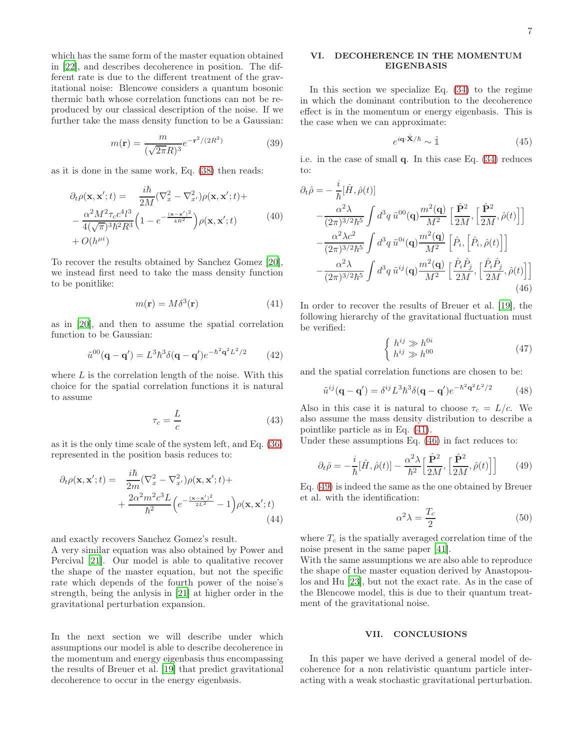which has the same form of the master equation obtained in [\[22\]](#page-11-12), and describes decoherence in position. The different rate is due to the different treatment of the gravitational noise: Blencowe considers a quantum bosonic thermic bath whose correlation functions can not be reproduced by our classical description of the noise. If we further take the mass density function to be a Gaussian:

$$
m(\mathbf{r}) = \frac{m}{(\sqrt{2\pi}R)^3}e^{-\mathbf{r}^2/(2R^2)}
$$
(39)

as it is done in the same work, Eq. [\(38\)](#page-5-2) then reads:

$$
\partial_t \rho(\mathbf{x}, \mathbf{x}'; t) = \frac{i\hbar}{2M} (\nabla_x^2 - \nabla_{x'}^2) \rho(\mathbf{x}, \mathbf{x}'; t) +
$$

$$
- \frac{\alpha^2 M^2 \tau_c c^4 l^3}{4(\sqrt{\pi})^3 \hbar^2 R^3} \left(1 - e^{-\frac{(\mathbf{x} - \mathbf{x}')^2}{4R^2}}\right) \rho(\mathbf{x}, \mathbf{x}'; t)
$$
(40)
$$
+ O(h^{\mu i})
$$

To recover the results obtained by Sanchez Gomez [\[20\]](#page-11-27), we instead first need to take the mass density function to be ponitlike:

<span id="page-6-1"></span>
$$
m(\mathbf{r}) = M\delta^3(\mathbf{r})\tag{41}
$$

as in [\[20\]](#page-11-27), and then to assume the spatial correlation function to be Gaussian:

$$
\tilde{u}^{00}(\mathbf{q} - \mathbf{q}') = L^3 \hbar^3 \delta(\mathbf{q} - \mathbf{q}') e^{-\hbar^2 \mathbf{q}^2 L^2 / 2} \qquad (42)
$$

where  $L$  is the correlation length of the noise. With this choice for the spatial correlation functions it is natural to assume

$$
\tau_c = \frac{L}{c} \tag{43}
$$

as it is the only time scale of the system left, and Eq. [\(36\)](#page-5-3) represented in the position basis reduces to:

$$
\partial_t \rho(\mathbf{x}, \mathbf{x}'; t) = \frac{i\hbar}{2m} (\nabla_x^2 - \nabla_{x'}^2) \rho(\mathbf{x}, \mathbf{x}'; t) + \frac{2\alpha^2 m^2 c^3 L}{\hbar^2} \left( e^{-\frac{(\mathbf{x} - \mathbf{x}')^2}{2L^2}} - 1 \right) \rho(\mathbf{x}, \mathbf{x}'; t)
$$
\n(44)

and exactly recovers Sanchez Gomez's result.

A very similar equation was also obtained by Power and Percival [\[21\]](#page-11-11). Our model is able to qualitative recover the shape of the master equation, but not the specific rate which depends of the fourth power of the noise's strength, being the anlysis in [\[21\]](#page-11-11) at higher order in the gravitational perturbation expansion.

In the next section we will describe under which assumptions our model is able to describe decoherence in the momentum and energy eigenbasis thus encompassing the results of Breuer et al. [\[19](#page-11-10)] that predict gravitational decoherence to occur in the energy eigenbasis.

## <span id="page-6-0"></span>VI. DECOHERENCE IN THE MOMENTUM EIGENBASIS

In this section we specialize Eq. [\(34\)](#page-5-1) to the regime in which the dominant contribution to the decoherence effect is in the momentum or energy eigenbasis. This is the case when we can approximate:

$$
e^{i\mathbf{q}\cdot\hat{\mathbf{X}}/\hbar} \sim \hat{\mathbb{1}}\tag{45}
$$

i.e. in the case of small q. In this case Eq. [\(34\)](#page-5-1) reduces to:

<span id="page-6-2"></span>
$$
\partial_{t}\hat{\rho} = -\frac{i}{\hbar}[\hat{H}, \hat{\rho}(t)] \n- \frac{\alpha^{2}\lambda}{(2\pi)^{3/2}\hbar^{5}} \int d^{3}q \, \tilde{u}^{00}(\mathbf{q}) \frac{m^{2}(\mathbf{q})}{M^{2}} \left[ \frac{\hat{\mathbf{P}}^{2}}{2M}, \left[ \frac{\hat{\mathbf{P}}^{2}}{2M}, \hat{\rho}(t) \right] \right] \n- \frac{\alpha^{2}\lambda c^{2}}{(2\pi)^{3/2}\hbar^{5}} \int d^{3}q \, \tilde{u}^{0i}(\mathbf{q}) \frac{m^{2}(\mathbf{q})}{M^{2}} \left[ \hat{P}_{i}, \left[ \hat{P}_{i}, \hat{\rho}(t) \right] \right] \n- \frac{\alpha^{2}\lambda}{(2\pi)^{3/2}\hbar^{5}} \int d^{3}q \, \tilde{u}^{ij}(\mathbf{q}) \frac{m^{2}(\mathbf{q})}{M^{2}} \left[ \frac{\hat{P}_{i}\hat{P}_{j}}{2M}, \left[ \frac{\hat{P}_{i}\hat{P}_{j}}{2M}, \hat{\rho}(t) \right] \right]
$$
\n(46)

In order to recover the results of Breuer et al. [\[19\]](#page-11-10), the following hierarchy of the gravitational fluctuation must be verified:

$$
\begin{cases} h^{ij} \gg h^{0i} \\ h^{ij} \gg h^{00} \end{cases} \tag{47}
$$

and the spatial correlation functions are chosen to be:

$$
\tilde{u}^{ij}(\mathbf{q} - \mathbf{q}') = \delta^{ij} L^3 \hbar^3 \delta(\mathbf{q} - \mathbf{q}') e^{-\hbar^2 \mathbf{q}^2 L^2 / 2}
$$
 (48)

Also in this case it is natural to choose  $\tau_c = L/c$ . We also assume the mass density distribution to describe a pointlike particle as in Eq. [\(41\)](#page-6-1).

Under these assumptions Eq. [\(46\)](#page-6-2) in fact reduces to:

<span id="page-6-3"></span>
$$
\partial_t \hat{\rho} = -\frac{i}{\hbar} [\hat{H}, \hat{\rho}(t)] - \frac{\alpha^2 \lambda}{\hbar^2} \left[ \frac{\hat{\mathbf{P}}^2}{2M}, \left[ \frac{\hat{\mathbf{P}}^2}{2M}, \hat{\rho}(t) \right] \right]
$$
(49)

Eq. [\(49\)](#page-6-3) is indeed the same as the one obtained by Breuer et al. with the identification:

$$
\alpha^2 \lambda = \frac{T_c}{2} \tag{50}
$$

where  $T_c$  is the spatially averaged correlation time of the noise present in the same paper [\[41](#page-11-28)].

With the same assumptions we are also able to reproduce the shape of the master equation derived by Anastopoulos and Hu [\[23\]](#page-11-13), but not the exact rate. As in the case of the Blencowe model, this is due to their quantum treatment of the gravitational noise.

### VII. CONCLUSIONS

In this paper we have derived a general model of decoherence for a non relativistic quantum particle interacting with a weak stochastic gravitational perturbation.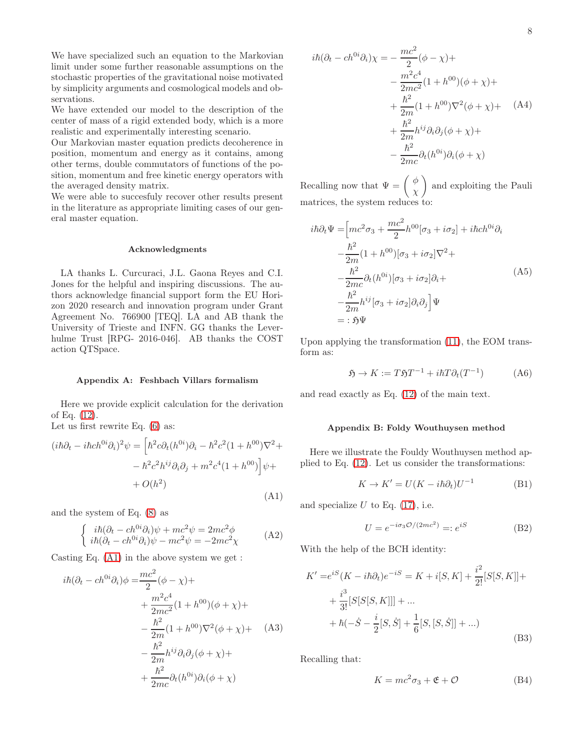We have specialized such an equation to the Markovian limit under some further reasonable assumptions on the stochastic properties of the gravitational noise motivated by simplicity arguments and cosmological models and observations.

We have extended our model to the description of the center of mass of a rigid extended body, which is a more realistic and experimentally interesting scenario.

Our Markovian master equation predicts decoherence in position, momentum and energy as it contains, among other terms, double commutators of functions of the position, momentum and free kinetic energy operators with the averaged density matrix.

We were able to succesfuly recover other results present in the literature as appropriate limiting cases of our general master equation.

#### Acknowledgments

LA thanks L. Curcuraci, J.L. Gaona Reyes and C.I. Jones for the helpful and inspiring discussions. The authors acknowledge financial support form the EU Horizon 2020 research and innovation program under Grant Agreement No. 766900 [TEQ]. LA and AB thank the University of Trieste and INFN. GG thanks the Leverhulme Trust [RPG- 2016-046]. AB thanks the COST action QTSpace.

# Appendix A: Feshbach Villars formalism

Here we provide explicit calculation for the derivation of Eq. [\(12\)](#page-1-3).

Let us first rewrite Eq. [\(6\)](#page-1-1) as:

<span id="page-7-0"></span>
$$
(i\hbar\partial_t - i\hbar ch^{0i}\partial_i)^2 \psi = \left[\hbar^2 c\partial_t (h^{0i})\partial_i - \hbar^2 c^2 (1 + h^{00})\nabla^2 + \right. \\
\left. - \hbar^2 c^2 h^{ij}\partial_i \partial_j + m^2 c^4 (1 + h^{00})\right] \psi + \left. + O(h^2)\right)
$$
\n(A1)

and the system of Eq. [\(8\)](#page-1-2) as

$$
\begin{cases}\nik(\partial_t - ch^{0i}\partial_i)\psi + mc^2\psi = 2mc^2\phi \\
i\hbar(\partial_t - ch^{0i}\partial_i)\psi - mc^2\psi = -2mc^2\chi\n\end{cases} (A2)
$$

Casting Eq. [\(A1\)](#page-7-0) in the above system we get :

$$
i\hbar(\partial_t - ch^{0i}\partial_i)\phi = \frac{mc^2}{2}(\phi - \chi) +
$$
  
+ 
$$
\frac{m^2c^4}{2mc^2}(1 + h^{00})(\phi + \chi) +
$$
  
- 
$$
\frac{\hbar^2}{2m}(1 + h^{00})\nabla^2(\phi + \chi) +
$$
  
- 
$$
\frac{\hbar^2}{2m}h^{ij}\partial_i\partial_j(\phi + \chi) +
$$
  
+ 
$$
\frac{\hbar^2}{2mc}\partial_t(h^{0i})\partial_i(\phi + \chi)
$$

$$
i\hbar(\partial_t - ch^{0i}\partial_i)\chi = -\frac{mc^2}{2}(\phi - \chi) +
$$
  

$$
-\frac{m^2c^4}{2mc^2}(1 + h^{00})(\phi + \chi) +
$$
  

$$
+\frac{\hbar^2}{2m}(1 + h^{00})\nabla^2(\phi + \chi) +
$$
  

$$
+\frac{\hbar^2}{2m}h^{ij}\partial_i\partial_j(\phi + \chi) +
$$
  

$$
-\frac{\hbar^2}{2mc}\partial_t(h^{0i})\partial_i(\phi + \chi)
$$

Recalling now that  $\Psi = \begin{pmatrix} \phi & \phi \\ \phi & \phi & \phi \end{pmatrix}$ χ and exploiting the Pauli matrices, the system reduces to:

$$
i\hbar\partial_t\Psi = \left[mc^2\sigma_3 + \frac{mc^2}{2}h^{00}[\sigma_3 + i\sigma_2] + i\hbar ch^{0i}\partial_i\right.\n- \frac{\hbar^2}{2m}(1 + h^{00})[\sigma_3 + i\sigma_2]\nabla^2 +\n- \frac{\hbar^2}{2mc}\partial_t(h^{0i})[\sigma_3 + i\sigma_2]\partial_i +\n- \frac{\hbar^2}{2m}h^{ij}[\sigma_3 + i\sigma_2]\partial_i\partial_j\Psi\n= : \mathfrak{H}\Psi
$$
\n(A5)

Upon applying the transformation [\(11\)](#page-1-5), the EOM transform as:

$$
\mathfrak{H} \to K := T \mathfrak{H} T^{-1} + i\hbar T \partial_t (T^{-1}) \tag{A6}
$$

and read exactly as Eq. [\(12\)](#page-1-3) of the main text.

## Appendix B: Foldy Wouthuysen method

Here we illustrate the Fouldy Wouthuysen method applied to Eq. [\(12\)](#page-1-3). Let us consider the transformations:

$$
K \to K' = U(K - i\hbar \partial_t)U^{-1}
$$
 (B1)

and specialize  $U$  to Eq. [\(17\)](#page-2-0), i.e.

$$
U = e^{-i\sigma_3 \mathcal{O}/(2mc^2)} =: e^{iS} \tag{B2}
$$

With the help of the BCH identity:

$$
K' = e^{iS}(K - i\hbar \partial_t)e^{-iS} = K + i[S, K] + \frac{i^2}{2!}[S[S, K]] + + \frac{i^3}{3!}[S[S[S, K]]] + ... + \hbar(-\dot{S} - \frac{i}{2}[S, \dot{S}] + \frac{1}{6}[S, [S, \dot{S}]] + ...)
$$
(B3)

Recalling that:

$$
K = mc^2 \sigma_3 + \mathfrak{E} + \mathcal{O}
$$
 (B4)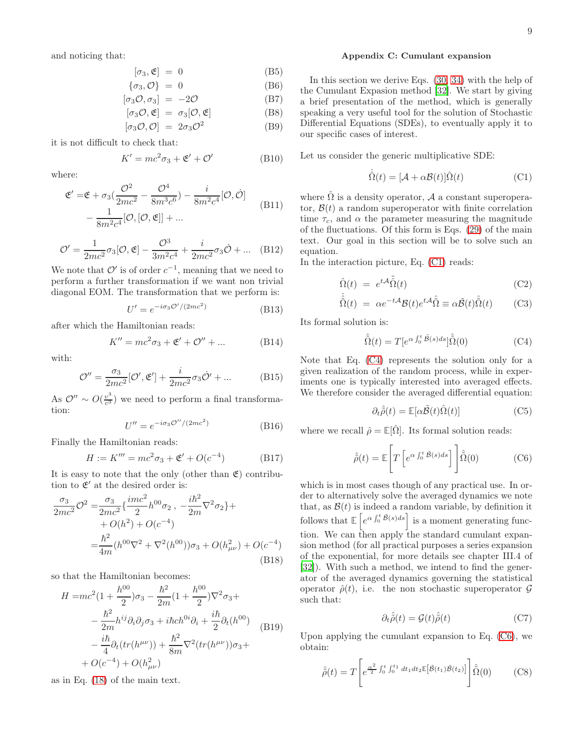and noticing that:

$$
[\sigma_3, \mathfrak{E}] = 0 \tag{B5}
$$

$$
\{\sigma_3, \mathcal{O}\} = 0 \tag{B6}
$$

$$
[\sigma_3 \mathcal{O}, \sigma_3] = -2\mathcal{O} \tag{B7}
$$

$$
[\sigma_3 \mathcal{O}, \mathfrak{E}] = \sigma_3[\mathcal{O}, \mathfrak{E}] \tag{B8}
$$

$$
[\sigma_3 \mathcal{O}, \mathcal{O}] = 2\sigma_3 \mathcal{O}^2 \tag{B9}
$$

it is not difficult to check that:

$$
K' = mc^2 \sigma_3 + \mathfrak{E}' + \mathcal{O}' \tag{B10}
$$

where:

$$
\mathfrak{E}' = \mathfrak{E} + \sigma_3 \left( \frac{\mathcal{O}^2}{2mc^2} - \frac{\mathcal{O}^4}{8m^3c^6} \right) - \frac{i}{8m^2c^4} [\mathcal{O}, \dot{\mathcal{O}}] - \frac{1}{8m^2c^4} [\mathcal{O}, [\mathcal{O}, \mathfrak{E}]] + \dots
$$
\n(B11)

$$
\mathcal{O}' = \frac{1}{2mc^2}\sigma_3[\mathcal{O}, \mathfrak{E}] - \frac{\mathcal{O}^3}{3m^2c^4} + \frac{i}{2mc^2}\sigma_3\dot{\mathcal{O}} + \dots \quad (B12)
$$

We note that  $\mathcal{O}'$  is of order  $c^{-1}$ , meaning that we need to perform a further transformation if we want non trivial diagonal EOM. The transformation that we perform is:

$$
U' = e^{-i\sigma_3 \mathcal{O}'/(2mc^2)}
$$
 (B13)

after which the Hamiltonian reads:

$$
K'' = mc^2 \sigma_3 + \mathfrak{E}' + \mathcal{O}'' + \dots \tag{B14}
$$

with:

$$
\mathcal{O}'' = \frac{\sigma_3}{2mc^2} [\mathcal{O}', \mathfrak{E}'] + \frac{i}{2mc^2} \sigma_3 \dot{\mathcal{O}}' + \dots \tag{B15}
$$

As  $\mathcal{O}'' \sim O(\frac{v^3}{c^3})$  $\frac{v^{\circ}}{c^3}$ ) we need to perform a final transformation:

$$
U'' = e^{-i\sigma_3 \mathcal{O}''/(2mc^2)} \tag{B16}
$$

Finally the Hamiltonian reads:

$$
H := K''' = mc^2 \sigma_3 + \mathfrak{E}' + O(c^{-4})
$$
 (B17)

It is easy to note that the only (other than  $\mathfrak{E}$ ) contribution to  $\mathfrak{E}'$  at the desired order is:

$$
\frac{\sigma_3}{2mc^2} \mathcal{O}^2 = \frac{\sigma_3}{2mc^2} \left\{ \frac{imc^2}{2} h^{00} \sigma_2 \right\}, \quad -\frac{i\hbar^2}{2m} \nabla^2 \sigma_2 \right\} + O(h^2) + O(c^{-4})
$$

$$
= \frac{\hbar^2}{4m} (h^{00} \nabla^2 + \nabla^2 (h^{00})) \sigma_3 + O(h_{\mu\nu}^2) + O(c^{-4})
$$
(B18)

so that the Hamiltonian becomes:

$$
H = mc^{2} (1 + \frac{h^{00}}{2}) \sigma_{3} - \frac{\hbar^{2}}{2m} (1 + \frac{h^{00}}{2}) \nabla^{2} \sigma_{3} + - \frac{\hbar^{2}}{2m} h^{ij} \partial_{i} \partial_{j} \sigma_{3} + i \hbar c h^{0i} \partial_{i} + \frac{i \hbar}{2} \partial_{t} (h^{00}) - \frac{i \hbar}{4} \partial_{t} (tr(h^{\mu \nu})) + \frac{\hbar^{2}}{8m} \nabla^{2} (tr(h^{\mu \nu})) \sigma_{3} + + O(c^{-4}) + O(h_{\mu \nu}^{2})
$$
 (B19)

as in Eq. [\(18\)](#page-2-1) of the main text.

#### Appendix C: Cumulant expansion

In this section we derive Eqs. [\(30,](#page-4-0) [34\)](#page-5-1) with the help of the Cumulant Expasion method [\[32\]](#page-11-24). We start by giving a brief presentation of the method, which is generally speaking a very useful tool for the solution of Stochastic Differential Equations (SDEs), to eventually apply it to our specific cases of interest.

Let us consider the generic multiplicative SDE:

<span id="page-8-0"></span>
$$
\dot{\hat{\Omega}}(t) = [\mathcal{A} + \alpha \mathcal{B}(t)] \hat{\Omega}(t)
$$
 (C1)

where  $\hat{\Omega}$  is a density operator, A a constant superoperator,  $\mathcal{B}(t)$  a random superoperator with finite correlation time  $\tau_c$ , and  $\alpha$  the parameter measuring the magnitude of the fluctuations. Of this form is Eqs. [\(29\)](#page-3-3) of the main text. Our goal in this section will be to solve such an equation.

In the interaction picture, Eq. [\(C1\)](#page-8-0) reads:

$$
\hat{\Omega}(t) = e^{t\mathcal{A}} \tilde{\Omega}(t) \tag{C2}
$$

$$
\dot{\hat{\tilde{\Omega}}}(t) = \alpha e^{-t\mathcal{A}} \mathcal{B}(t) e^{t\mathcal{A}} \hat{\tilde{\Omega}} \equiv \alpha \tilde{\mathcal{B}}(t) \hat{\tilde{\Omega}}(t) \qquad \text{(C3)}
$$

Its formal solution is:

<span id="page-8-1"></span>
$$
\hat{\tilde{\Omega}}(t) = T[e^{\alpha \int_0^t \tilde{\mathcal{B}}(s)ds}]\hat{\tilde{\Omega}}(0)
$$
 (C4)

Note that Eq. [\(C4\)](#page-8-1) represents the solution only for a given realization of the random process, while in experiments one is typically interested into averaged effects. We therefore consider the averaged differential equation:

$$
\partial_t \hat{\tilde{\rho}}(t) = \mathbb{E}[\alpha \tilde{\mathcal{B}}(t)\hat{\Omega}(t)] \tag{C5}
$$

where we recall  $\hat{\rho} = \mathbb{E}[\hat{\Omega}]$ . Its formal solution reads:

<span id="page-8-2"></span>
$$
\hat{\tilde{\rho}}(t) = \mathbb{E}\left[T\left[e^{\alpha \int_0^t \tilde{\mathcal{B}}(s)ds}\right]\right] \hat{\tilde{\Omega}}(0) \tag{C6}
$$

which is in most cases though of any practical use. In order to alternatively solve the averaged dynamics we note that, as  $\mathcal{B}(t)$  is indeed a random variable, by definition it follows that  $\mathbb{E}\left[e^{\alpha \int_0^t \tilde{\mathcal{B}}(s)ds}\right]$  is a moment generating function. We can then apply the standard cumulant expansion method (for all practical purposes a series expansion of the exponential, for more details see chapter III.4 of [\[32\]](#page-11-24)). With such a method, we intend to find the generator of the averaged dynamics governing the statistical operator  $\hat{\rho}(t)$ , i.e. the non stochastic superoperator  $\mathcal G$ such that:

$$
\partial_t \hat{\tilde{\rho}}(t) = \mathcal{G}(t)\hat{\tilde{\rho}}(t) \tag{C7}
$$

Upon applying the cumulant expansion to Eq. [\(C6\)](#page-8-2), we obtain:

<span id="page-8-3"></span>
$$
\hat{\tilde{\rho}}(t) = T \left[ e^{\frac{\alpha^2}{2} \int_0^t \int_0^{t_1} dt_1 dt_2 \mathbb{E} \left[ \tilde{\mathcal{B}}(t_1) \tilde{\mathcal{B}}(t_2) \right] \right] \hat{\tilde{\Omega}}(0) \tag{C8}
$$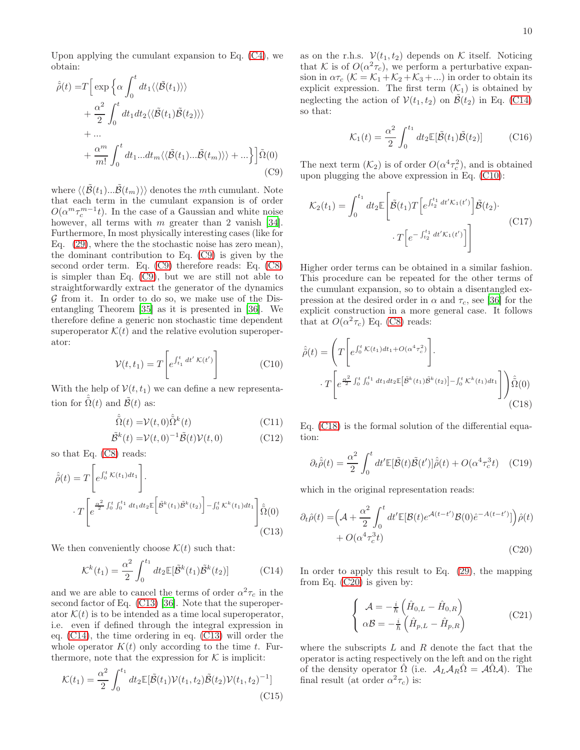Upon applying the cumulant expansion to Eq. [\(C4\)](#page-8-1), we obtain:

<span id="page-9-0"></span>
$$
\hat{\rho}(t) = T \Big[ \exp \Big\{ \alpha \int_0^t dt_1 \langle \langle \tilde{\mathcal{B}}(t_1) \rangle \rangle \Big\} + \frac{\alpha^2}{2} \int_0^t dt_1 dt_2 \langle \langle \tilde{\mathcal{B}}(t_1) \tilde{\mathcal{B}}(t_2) \rangle \rangle + \dots + \frac{\alpha^m}{m!} \int_0^t dt_1 ... dt_m \langle \langle \tilde{\mathcal{B}}(t_1) ... \tilde{\mathcal{B}}(t_m) \rangle \rangle + \dots \Big\} \Big] \tilde{\Omega}(0)
$$
\n(C9)

where  $\langle\langle \tilde{\mathcal{B}}(t_1)... \tilde{\mathcal{B}}(t_m)\rangle\rangle$  denotes the mth cumulant. Note that each term in the cumulant expansion is of order  $O(\alpha^m \tau_c^{m-1} t)$ . In the case of a Gaussian and white noise however, all terms with  $m$  greater than 2 vanish [\[34\]](#page-11-29). Furthermore, In most physically interesting cases (like for Eq. [\(29\)](#page-3-3), where the the stochastic noise has zero mean), the dominant contribution to Eq. [\(C9\)](#page-9-0) is given by the second order term. Eq. [\(C9\)](#page-9-0) therefore reads: Eq. [\(C8\)](#page-8-3) is simpler than Eq. [\(C9\)](#page-9-0), but we are still not able to straightforwardly extract the generator of the dynamics  $\mathcal G$  from it. In order to do so, we make use of the Disentangling Theorem [\[35](#page-11-30)] as it is presented in [\[36](#page-11-31)]. We therefore define a generic non stochastic time dependent superoperator  $\mathcal{K}(t)$  and the relative evolution superoperator:

<span id="page-9-3"></span>
$$
\mathcal{V}(t, t_1) = T \left[ e^{\int_{t_1}^t dt' \mathcal{K}(t')} \right]
$$
 (C10)

With the help of  $V(t, t_1)$  we can define a new representation for  $\tilde{\Omega}(t)$  and  $\tilde{\mathcal{B}}(t)$  as:

$$
\hat{\tilde{\Omega}}(t) = \mathcal{V}(t,0)\hat{\tilde{\Omega}}^k(t)
$$
\n(C11)

$$
\tilde{\mathcal{B}}^k(t) = \mathcal{V}(t,0)^{-1}\tilde{\mathcal{B}}(t)\mathcal{V}(t,0)
$$
\n(C12)

so that Eq. [\(C8\)](#page-8-3) reads:

<span id="page-9-1"></span>
$$
\hat{\hat{\rho}}(t) = T \left[ e^{\int_0^t \mathcal{K}(t_1) dt_1} \right].
$$

$$
\cdot T \left[ e^{\frac{\alpha^2}{2} \int_0^t \int_0^{t_1} dt_1 dt_2 \mathbb{E} \left[ \tilde{\mathcal{B}}^k(t_1) \tilde{\mathcal{B}}^k(t_2) \right] - \int_0^t \mathcal{K}^k(t_1) dt_1 \right] \hat{\hat{\Omega}}(0)
$$
(C13)

We then conveniently choose  $\mathcal{K}(t)$  such that:

<span id="page-9-2"></span>
$$
\mathcal{K}^k(t_1) = \frac{\alpha^2}{2} \int_0^{t_1} dt_2 \mathbb{E}[\tilde{\mathcal{B}}^k(t_1)\tilde{\mathcal{B}}^k(t_2)] \tag{C14}
$$

and we are able to cancel the terms of order  $\alpha^2 \tau_c$  in the second factor of Eq. [\(C13\)](#page-9-1) [\[36\]](#page-11-31). Note that the superoperator  $\mathcal{K}(t)$  is to be intended as a time local superoperator, i.e. even if defined through the integral expression in eq. [\(C14\)](#page-9-2), the time ordering in eq. [\(C13\)](#page-9-1) will order the whole operator  $K(t)$  only according to the time t. Furthermore, note that the expression for  $K$  is implicit:

$$
\mathcal{K}(t_1) = \frac{\alpha^2}{2} \int_0^{t_1} dt_2 \mathbb{E}[\tilde{\mathcal{B}}(t_1) \mathcal{V}(t_1, t_2) \tilde{\mathcal{B}}(t_2) \mathcal{V}(t_1, t_2)^{-1}]
$$
\n(C15)

as on the r.h.s.  $V(t_1, t_2)$  depends on K itself. Noticing that K is of  $O(\alpha^2 \tau_c)$ , we perform a perturbative expansion in  $\alpha \tau_c$  ( $\mathcal{K} = \mathcal{K}_1 + \mathcal{K}_2 + \mathcal{K}_3 + ...$ ) in order to obtain its explicit expression. The first term  $(\mathcal{K}_1)$  is obtained by neglecting the action of  $V(t_1, t_2)$  on  $\mathcal{B}(t_2)$  in Eq. [\(C14\)](#page-9-2) so that:

$$
\mathcal{K}_1(t) = \frac{\alpha^2}{2} \int_0^{t_1} dt_2 \mathbb{E}[\tilde{\mathcal{B}}(t_1)\tilde{\mathcal{B}}(t_2)] \quad (C16)
$$

The next term  $(\mathcal{K}_2)$  is of order  $O(\alpha^4 \tau_c^2)$ , and is obtained upon plugging the above expression in Eq. [\(C10\)](#page-9-3):

$$
\mathcal{K}_2(t_1) = \int_0^{t_1} dt_2 \mathbb{E}\left[\tilde{\mathcal{B}}(t_1) T\left[e^{\int_{t_2}^{t_1} dt' \mathcal{K}_1(t')} \right] \tilde{\mathcal{B}}(t_2) \cdot \right. \cdot T\left[e^{-\int_{t_2}^{t_1} dt' \mathcal{K}_1(t')} \right]\right]
$$
\n(C17)

Higher order terms can be obtained in a similar fashion. This procedure can be repeated for the other terms of the cumulant expansion, so to obtain a disentangled expression at the desired order in  $\alpha$  and  $\tau_c$ , see [\[36](#page-11-31)] for the explicit construction in a more general case. It follows that at  $O(\alpha^2 \tau_c)$  Eq. [\(C8\)](#page-8-3) reads:

<span id="page-9-4"></span>
$$
\hat{\rho}(t) = \left( T \left[ e^{\int_0^t \mathcal{K}(t_1) dt_1 + O(\alpha^4 \tau_c^2)} \right] \right. \n\cdot T \left[ e^{\frac{\alpha^2}{2} \int_0^t \int_0^{t_1} dt_1 dt_2 \mathbb{E} \left[ \tilde{\mathcal{B}}^k(t_1) \tilde{\mathcal{B}}^k(t_2) \right] - \int_0^t \mathcal{K}^k(t_1) dt_1} \right] \right) \hat{\tilde{\Omega}}(0)
$$
\n(C18)

Eq. [\(C18\)](#page-9-4) is the formal solution of the differential equation:

$$
\partial_t \hat{\tilde{\rho}}(t) = \frac{\alpha^2}{2} \int_0^t dt' \mathbb{E}[\tilde{\mathcal{B}}(t)\tilde{\mathcal{B}}(t')] \hat{\tilde{\rho}}(t) + O(\alpha^4 \tau_c^3 t) \quad \text{(C19)}
$$

which in the original representation reads:

<span id="page-9-5"></span>
$$
\partial_t \hat{\rho}(t) = \left(\mathcal{A} + \frac{\alpha^2}{2} \int_0^t dt' \mathbb{E}[\mathcal{B}(t)e^{\mathcal{A}(t-t')} \mathcal{B}(0)\hat{e}^{-A(t-t')}]\right) \hat{\rho}(t) + O(\alpha^4 \tau_c^3 t)
$$
\n(C20)

In order to apply this result to Eq. [\(29\)](#page-3-3), the mapping from Eq. [\(C20\)](#page-9-5) is given by:

<span id="page-9-6"></span>
$$
\begin{cases}\n\mathcal{A} = -\frac{i}{\hbar} \left( \hat{H}_{0,L} - \hat{H}_{0,R} \right) \\
\alpha \mathcal{B} = -\frac{i}{\hbar} \left( \hat{H}_{p,L} - \hat{H}_{p,R} \right)\n\end{cases} \tag{C21}
$$

where the subscripts  $L$  and  $R$  denote the fact that the operator is acting respectively on the left and on the right of the density operator  $\Omega$  (i.e.  $\mathcal{A}_L \mathcal{A}_R \Omega = \mathcal{A} \Omega \mathcal{A}$ ). The final result (at order  $\alpha^2 \tau_c$ ) is: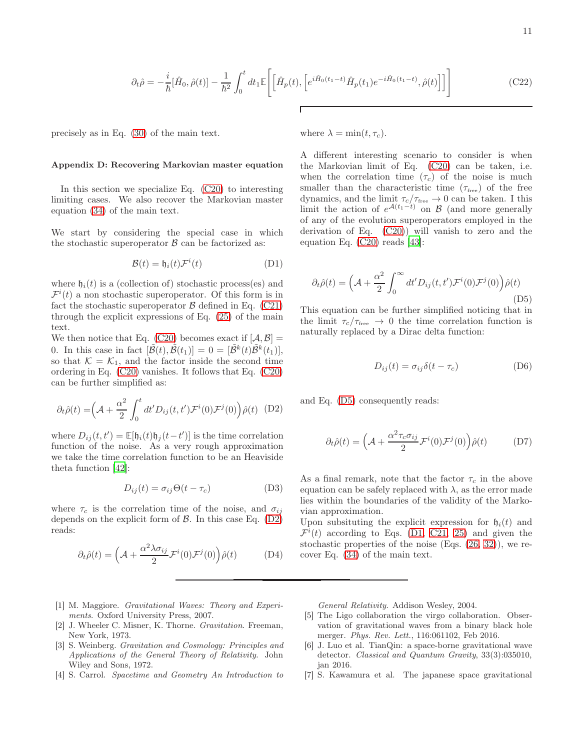$$
\partial_t \hat{\rho} = -\frac{i}{\hbar} [\hat{H}_0, \hat{\rho}(t)] - \frac{1}{\hbar^2} \int_0^t dt_1 \mathbb{E} \Bigg[ \Big[ \hat{H}_p(t), \Big[ e^{i\hat{H}_0(t_1 - t)} \hat{H}_p(t_1) e^{-i\hat{H}_0(t_1 - t)}, \hat{\rho}(t) \Big] \Big] \Bigg] \tag{C22}
$$

where  $\lambda = \min(t, \tau_c)$ .

precisely as in Eq. [\(30\)](#page-4-0) of the main text.

#### Appendix D: Recovering Markovian master equation

In this section we specialize Eq. [\(C20\)](#page-9-5) to interesting limiting cases. We also recover the Markovian master equation [\(34\)](#page-5-1) of the main text.

We start by considering the special case in which the stochastic superoperator  $\beta$  can be factorized as:

<span id="page-10-5"></span>
$$
\mathcal{B}(t) = \mathfrak{h}_i(t)\mathcal{F}^i(t) \tag{D1}
$$

where  $\mathfrak{h}_i(t)$  is a (collection of) stochastic process(es) and  $\mathcal{F}^{i}(t)$  a non stochastic superoperator. Of this form is in fact the stochastic superoperator  $\beta$  defined in Eq. [\(C21\)](#page-9-6) through the explicit expressions of Eq. [\(25\)](#page-3-1) of the main text.

We then notice that Eq. [\(C20\)](#page-9-5) becomes exact if  $[A, \beta] =$ 0. In this case in fact  $[\tilde{\mathcal{B}}(t), \tilde{\mathcal{B}}(t_1)] = 0 = [\tilde{\mathcal{B}}^k(t)\tilde{\mathcal{B}}^k(t_1)],$ so that  $\mathcal{K} = \mathcal{K}_1$ , and the factor inside the second time ordering in Eq. [\(C20\)](#page-9-5) vanishes. It follows that Eq. [\(C20\)](#page-9-5) can be further simplified as:

<span id="page-10-3"></span>
$$
\partial_t \hat{\rho}(t) = \left(\mathcal{A} + \frac{\alpha^2}{2} \int_0^t dt' D_{ij}(t, t') \mathcal{F}^i(0) \mathcal{F}^j(0)\right) \hat{\rho}(t) \quad (D2)
$$

where  $D_{ij}(t, t') = \mathbb{E}[\mathfrak{h}_i(t)\mathfrak{h}_j(t-t')]$  is the time correlation function of the noise. As a very rough approximation we take the time correlation function to be an Heaviside theta function [\[42\]](#page-11-32):

$$
D_{ij}(t) = \sigma_{ij}\Theta(t - \tau_c) \tag{D3}
$$

where  $\tau_c$  is the correlation time of the noise, and  $\sigma_{ij}$ depends on the explicit form of  $\beta$ . In this case Eq. [\(D2\)](#page-10-3) reads:

$$
\partial_t \hat{\rho}(t) = \left(\mathcal{A} + \frac{\alpha^2 \lambda \sigma_{ij}}{2} \mathcal{F}^i(0) \mathcal{F}^j(0)\right) \hat{\rho}(t) \tag{D4}
$$

A different interesting scenario to consider is when the Markovian limit of Eq. [\(C20\)](#page-9-5) can be taken, i.e. when the correlation time  $(\tau_c)$  of the noise is much smaller than the characteristic time  $(\tau_{\text{free}})$  of the free dynamics, and the limit  $\tau_c/\tau_{\text{free}} \to 0$  can be taken. I this limit the action of  $e^{\mathcal{A}(t_1-t)}$  on  $\mathcal{B}$  (and more generally of any of the evolution superoperators employed in the derivation of Eq. [\(C20\)](#page-9-5)) will vanish to zero and the equation Eq. [\(C20\)](#page-9-5) reads [\[43\]](#page-11-33):

<span id="page-10-4"></span>
$$
\partial_t \hat{\rho}(t) = \left(\mathcal{A} + \frac{\alpha^2}{2} \int_0^\infty dt' D_{ij}(t, t') \mathcal{F}^i(0) \mathcal{F}^j(0)\right) \hat{\rho}(t)
$$
\n(D5)

This equation can be further simplified noticing that in the limit  $\tau_c/\tau_{\text{free}} \rightarrow 0$  the time correlation function is naturally replaced by a Dirac delta function:

$$
D_{ij}(t) = \sigma_{ij}\delta(t - \tau_c)
$$
 (D6)

and Eq. [\(D5\)](#page-10-4) consequently reads:

$$
\partial_t \hat{\rho}(t) = \left(\mathcal{A} + \frac{\alpha^2 \tau_c \sigma_{ij}}{2} \mathcal{F}^i(0) \mathcal{F}^j(0)\right) \hat{\rho}(t) \tag{D7}
$$

As a final remark, note that the factor  $\tau_c$  in the above equation can be safely replaced with  $\lambda$ , as the error made lies within the boundaries of the validity of the Markovian approximation.

Upon subsituting the explicit expression for  $h_i(t)$  and  $\mathcal{F}^{i}(t)$  according to Eqs. [\(D1,](#page-10-5) [C21,](#page-9-6) [25\)](#page-3-1) and given the stochastic properties of the noise (Eqs. [\(26,](#page-3-2) [32\)](#page-4-1)), we recover Eq. [\(34\)](#page-5-1) of the main text.

- <span id="page-10-0"></span>[1] M. Maggiore. *Gravitational Waves: Theory and Experiments*. Oxford University Press, 2007.
- [2] J. Wheeler C. Misner, K. Thorne. *Gravitation*. Freeman, New York, 1973.
- [3] S. Weinberg. *Gravitation and Cosmology: Principles and Applications of the General Theory of Relativity*. John Wiley and Sons, 1972.
- <span id="page-10-1"></span>[4] S. Carrol. *Spacetime and Geometry An Introduction to*

*General Relativity*. Addison Wesley, 2004.

- <span id="page-10-2"></span>[5] The Ligo collaboration the virgo collaboration. Observation of gravitational waves from a binary black hole merger. *Phys. Rev. Lett.*, 116:061102, Feb 2016.
- [6] J. Luo et al. TianQin: a space-borne gravitational wave detector. *Classical and Quantum Gravity*, 33(3):035010, jan 2016.
- [7] S. Kawamura et al. The japanese space gravitational